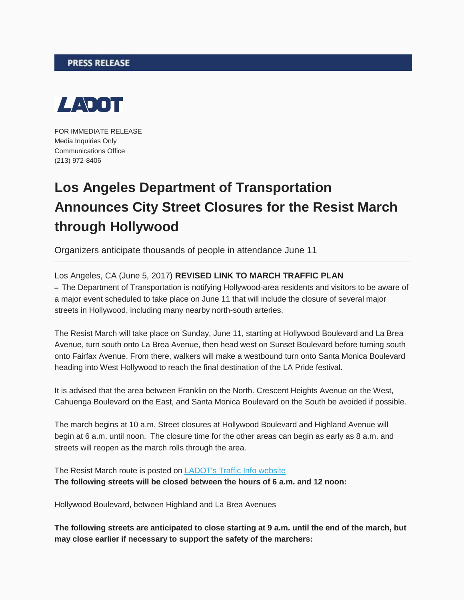## **PRESS RELEASE**



FOR IMMEDIATE RELEASE Media Inquiries Only Communications Office (213) 972-8406

## **Los Angeles Department of Transportation Announces City Street Closures for the Resist March through Hollywood**

Organizers anticipate thousands of people in attendance June 11

Los Angeles, CA (June 5, 2017) **REVISED LINK TO MARCH TRAFFIC PLAN**

**–** The Department of Transportation is notifying Hollywood-area residents and visitors to be aware of a major event scheduled to take place on June 11 that will include the closure of several major streets in Hollywood, including many nearby north-south arteries.

The Resist March will take place on Sunday, June 11, starting at Hollywood Boulevard and La Brea Avenue, turn south onto La Brea Avenue, then head west on Sunset Boulevard before turning south onto Fairfax Avenue. From there, walkers will make a westbound turn onto Santa Monica Boulevard heading into West Hollywood to reach the final destination of the LA Pride festival.

It is advised that the area between Franklin on the North. Crescent Heights Avenue on the West, Cahuenga Boulevard on the East, and Santa Monica Boulevard on the South be avoided if possible.

The march begins at 10 a.m. Street closures at Hollywood Boulevard and Highland Avenue will begin at 6 a.m. until noon. The closure time for the other areas can begin as early as 8 a.m. and streets will reopen as the march rolls through the area.

The Resist March route is posted on [LADOT's Traffic Info website](http://trafficinfo.lacity.org/m@n@ger!/ckfinder/userfiles/files/Resist%20March%20TMP.pdf) **The following streets will be closed between the hours of 6 a.m. and 12 noon:**

Hollywood Boulevard, between Highland and La Brea Avenues

**The following streets are anticipated to close starting at 9 a.m. until the end of the march, but may close earlier if necessary to support the safety of the marchers:**